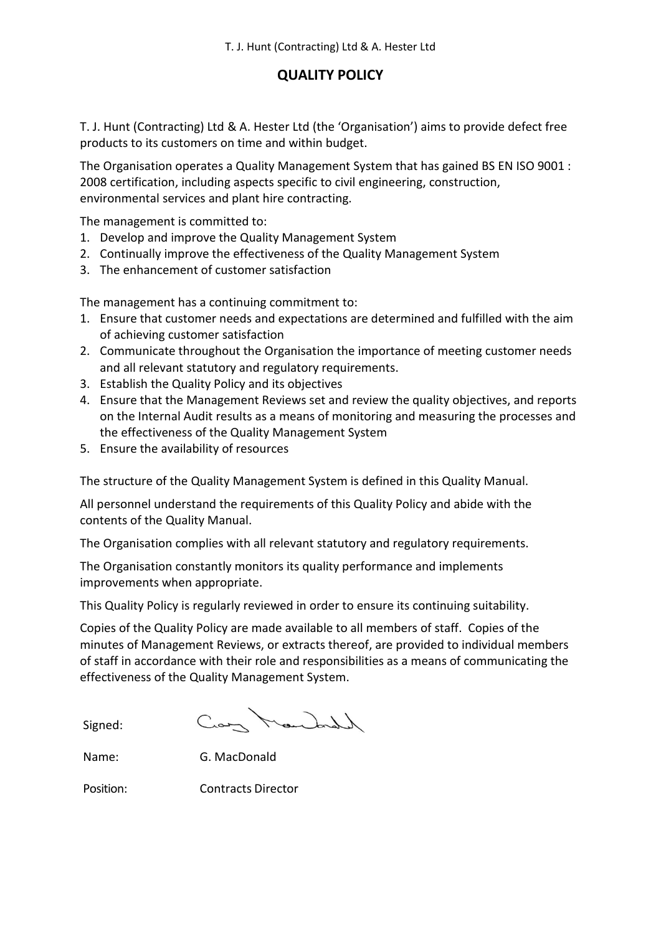## **QUALITY POLICY**

T. J. Hunt (Contracting) Ltd & A. Hester Ltd (the 'Organisation') aims to provide defect free products to its customers on time and within budget.

The Organisation operates a Quality Management System that has gained BS EN ISO 9001 : 2008 certification, including aspects specific to civil engineering, construction, environmental services and plant hire contracting.

The management is committed to:

- 1. Develop and improve the Quality Management System
- 2. Continually improve the effectiveness of the Quality Management System
- 3. The enhancement of customer satisfaction

The management has a continuing commitment to:

- 1. Ensure that customer needs and expectations are determined and fulfilled with the aim of achieving customer satisfaction
- 2. Communicate throughout the Organisation the importance of meeting customer needs and all relevant statutory and regulatory requirements.
- 3. Establish the Quality Policy and its objectives
- 4. Ensure that the Management Reviews set and review the quality objectives, and reports on the Internal Audit results as a means of monitoring and measuring the processes and the effectiveness of the Quality Management System
- 5. Ensure the availability of resources

The structure of the Quality Management System is defined in this Quality Manual.

All personnel understand the requirements of this Quality Policy and abide with the contents of the Quality Manual.

The Organisation complies with all relevant statutory and regulatory requirements.

The Organisation constantly monitors its quality performance and implements improvements when appropriate.

This Quality Policy is regularly reviewed in order to ensure its continuing suitability.

Copies of the Quality Policy are made available to all members of staff. Copies of the minutes of Management Reviews, or extracts thereof, are provided to individual members of staff in accordance with their role and responsibilities as a means of communicating the effectiveness of the Quality Management System.

Can Mandal

Signed:

Name: G. MacDonald

Position: Contracts Director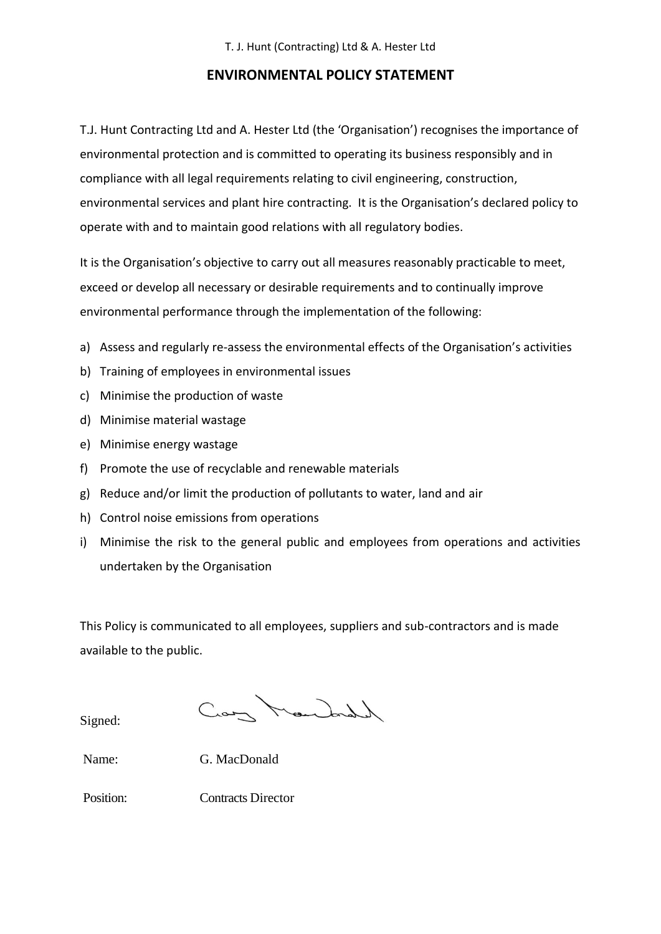## **ENVIRONMENTAL POLICY STATEMENT**

T.J. Hunt Contracting Ltd and A. Hester Ltd (the 'Organisation') recognises the importance of environmental protection and is committed to operating its business responsibly and in compliance with all legal requirements relating to civil engineering, construction, environmental services and plant hire contracting. It is the Organisation's declared policy to operate with and to maintain good relations with all regulatory bodies.

It is the Organisation's objective to carry out all measures reasonably practicable to meet, exceed or develop all necessary or desirable requirements and to continually improve environmental performance through the implementation of the following:

- a) Assess and regularly re-assess the environmental effects of the Organisation's activities
- b) Training of employees in environmental issues
- c) Minimise the production of waste
- d) Minimise material wastage
- e) Minimise energy wastage
- f) Promote the use of recyclable and renewable materials
- g) Reduce and/or limit the production of pollutants to water, land and air
- h) Control noise emissions from operations
- i) Minimise the risk to the general public and employees from operations and activities undertaken by the Organisation

This Policy is communicated to all employees, suppliers and sub-contractors and is made available to the public.

Signed:

Cany Mandall

Name: G. MacDonald

Position: Contracts Director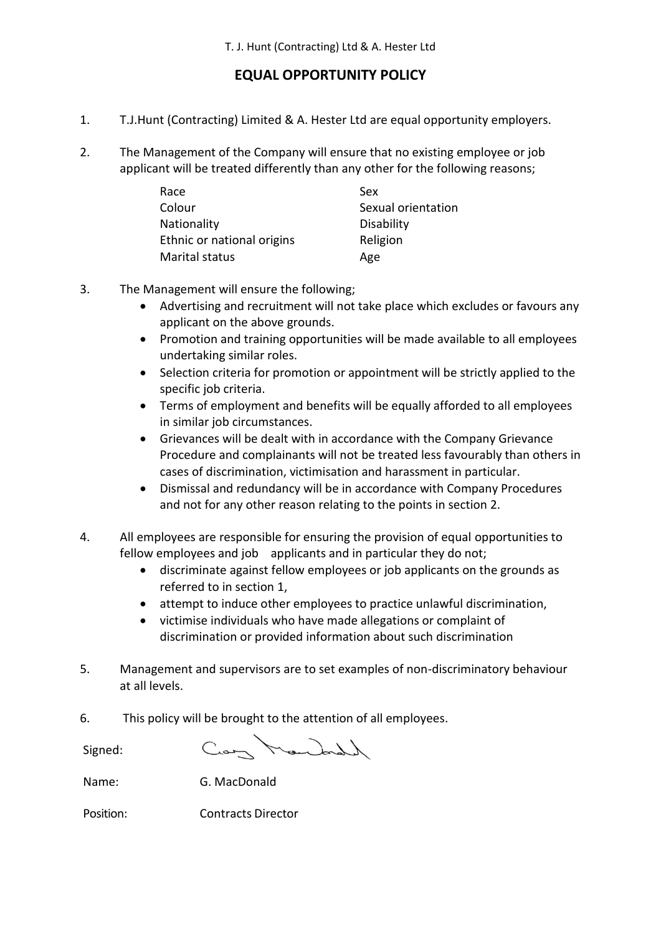## **EQUAL OPPORTUNITY POLICY**

- 1. T.J.Hunt (Contracting) Limited & A. Hester Ltd are equal opportunity employers.
- 2. The Management of the Company will ensure that no existing employee or job applicant will be treated differently than any other for the following reasons;

| Race                       | Sex                |
|----------------------------|--------------------|
| Colour                     | Sexual orientation |
| <b>Nationality</b>         | <b>Disability</b>  |
| Ethnic or national origins | Religion           |
| <b>Marital status</b>      | Age                |

- 3. The Management will ensure the following;
	- Advertising and recruitment will not take place which excludes or favours any applicant on the above grounds.
	- Promotion and training opportunities will be made available to all employees undertaking similar roles.
	- Selection criteria for promotion or appointment will be strictly applied to the specific job criteria.
	- Terms of employment and benefits will be equally afforded to all employees in similar job circumstances.
	- Grievances will be dealt with in accordance with the Company Grievance Procedure and complainants will not be treated less favourably than others in cases of discrimination, victimisation and harassment in particular.
	- Dismissal and redundancy will be in accordance with Company Procedures and not for any other reason relating to the points in section 2.
- 4. All employees are responsible for ensuring the provision of equal opportunities to fellow employees and job applicants and in particular they do not;
	- discriminate against fellow employees or job applicants on the grounds as referred to in section 1,
	- attempt to induce other employees to practice unlawful discrimination,
	- victimise individuals who have made allegations or complaint of discrimination or provided information about such discrimination
- 5. Management and supervisors are to set examples of non-discriminatory behaviour at all levels.
- 6. This policy will be brought to the attention of all employees.

Signed:

Cray Mandal

Name: G. MacDonald

Position: Contracts Director